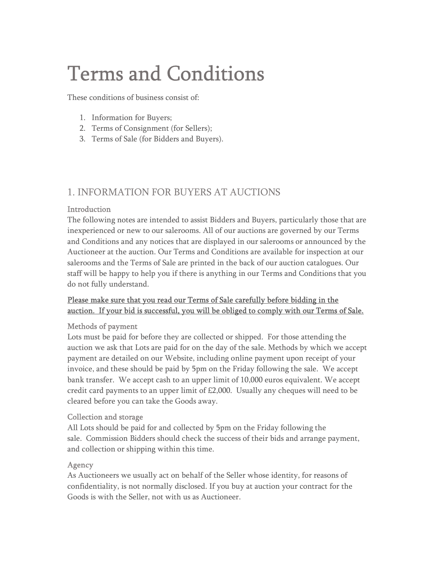# Terms and Conditions

These conditions of business consist of:

- 1. Information for Buyers;
- 2. Terms of Consignment (for Sellers);
- 3. Terms of Sale (for Bidders and Buyers).

# 1. INFORMATION FOR BUYERS AT AUCTIONS

#### Introduction

The following notes are intended to assist Bidders and Buyers, particularly those that are inexperienced or new to our salerooms. All of our auctions are governed by our Terms and Conditions and any notices that are displayed in our salerooms or announced by the Auctioneer at the auction. Our Terms and Conditions are available for inspection at our salerooms and the Terms of Sale are printed in the back of our auction catalogues. Our staff will be happy to help you if there is anything in our Terms and Conditions that you do not fully understand.

# Please make sure that you read our Terms of Sale carefully before bidding in the auction. If your bid is successful, you will be obliged to comply with our Terms of Sale.

#### Methods of payment

Lots must be paid for before they are collected or shipped. For those attending the auction we ask that Lots are paid for on the day of the sale. Methods by which we accept payment are detailed on our Website, including online payment upon receipt of your invoice, and these should be paid by 5pm on the Friday following the sale. We accept bank transfer. We accept cash to an upper limit of 10,000 euros equivalent. We accept credit card payments to an upper limit of £2,000. Usually any cheques will need to be cleared before you can take the Goods away.

#### Collection and storage

All Lots should be paid for and collected by 5pm on the Friday following the sale. Commission Bidders should check the success of their bids and arrange payment, and collection or shipping within this time.

#### Agency

As Auctioneers we usually act on behalf of the Seller whose identity, for reasons of confidentiality, is not normally disclosed. If you buy at auction your contract for the Goods is with the Seller, not with us as Auctioneer.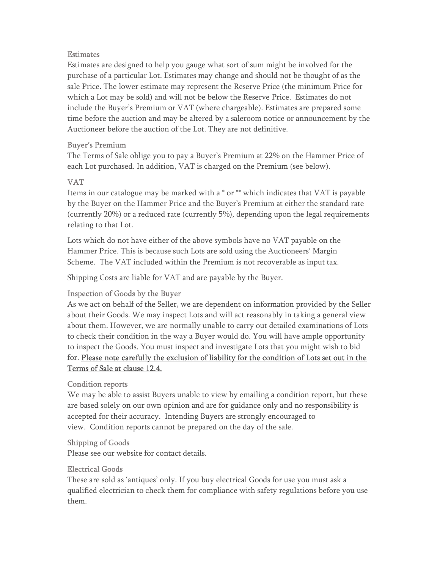#### **Estimates**

Estimates are designed to help you gauge what sort of sum might be involved for the purchase of a particular Lot. Estimates may change and should not be thought of as the sale Price. The lower estimate may represent the Reserve Price (the minimum Price for which a Lot may be sold) and will not be below the Reserve Price. Estimates do not include the Buyer's Premium or VAT (where chargeable). Estimates are prepared some time before the auction and may be altered by a saleroom notice or announcement by the Auctioneer before the auction of the Lot. They are not definitive.

#### Buyer's Premium

The Terms of Sale oblige you to pay a Buyer's Premium at 22% on the Hammer Price of each Lot purchased. In addition, VAT is charged on the Premium (see below).

# VAT

Items in our catalogue may be marked with a \* or \*\* which indicates that VAT is payable by the Buyer on the Hammer Price and the Buyer's Premium at either the standard rate (currently 20%) or a reduced rate (currently 5%), depending upon the legal requirements relating to that Lot.

Lots which do not have either of the above symbols have no VAT payable on the Hammer Price. This is because such Lots are sold using the Auctioneers' Margin Scheme. The VAT included within the Premium is not recoverable as input tax.

Shipping Costs are liable for VAT and are payable by the Buyer.

# Inspection of Goods by the Buyer

As we act on behalf of the Seller, we are dependent on information provided by the Seller about their Goods. We may inspect Lots and will act reasonably in taking a general view about them. However, we are normally unable to carry out detailed examinations of Lots to check their condition in the way a Buyer would do. You will have ample opportunity to inspect the Goods. You must inspect and investigate Lots that you might wish to bid for. Please note carefully the exclusion of liability for the condition of Lots set out in the Terms of Sale at clause 12.4.

#### Condition reports

We may be able to assist Buyers unable to view by emailing a condition report, but these are based solely on our own opinion and are for guidance only and no responsibility is accepted for their accuracy. Intending Buyers are strongly encouraged to view. Condition reports cannot be prepared on the day of the sale.

#### Shipping of Goods

Please see our website for contact details.

#### Electrical Goods

These are sold as 'antiques' only. If you buy electrical Goods for use you must ask a qualified electrician to check them for compliance with safety regulations before you use them.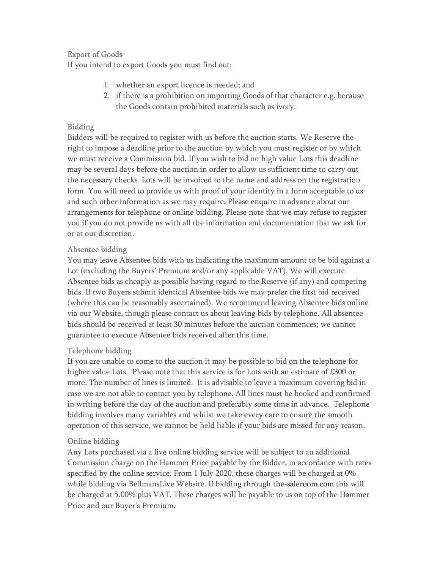#### Export of Goods

If you intend to export Goods you must find out:

- 1. whether an export licence is needed; and
- 2. if there is a prohibition on importing Goods of that character e.g. because the Goods contain prohibited materials such as ivory.

#### Bidding

Bidders will be required to register with us before the auction starts. We Reserve the right to impose a deadline prior to the auction by which you must register or by which we must receive a Commission bid. If you wish to bid on high value Lots this deadline may be several days before the auction in order to allow us sufficient time to carry out the necessary checks. Lots will be invoiced to the name and address on the registration form. You will need to provide us with proof of your identity in a form acceptable to us and such other information as we may require. Please enquire in advance about our arrangements for telephone or online bidding. Please note that we may refuse to register you if you do not provide us with all the information and documentation that we ask for or at our discretion.

#### Absentee bidding

You may leave Absentee bids with us indicating the maximum amount to be bid against a Lot (excluding the Buyers' Premium and/or any applicable VAT). We will execute Absentee bids as cheaply as possible having regard to the Reserve (if any) and competing bids. If two Buyers submit identical Absentee bids we may prefer the first bid received (where this can be reasonably ascertained). We recommend leaving Absentee bids online via our Website, though please contact us about leaving bids by telephone. All absentee bids should be received at least 30 minutes before the auction commences; we cannot guarantee to execute Absentee bids received after this time.

#### Telephone bidding

If you are unable to come to the auction it may be possible to bid on the telephone for higher value Lots. Please note that this service is for Lots with an estimate of £300 or more. The number of lines is limited. It is advisable to leave a maximum covering bid in case we are not able to contact you by telephone. All lines must be booked and confirmed in writing before the day of the auction and preferably some time in advance. Telephone bidding involves many variables and whilst we take every care to ensure the smooth operation of this service, we cannot be held liable if your bids are missed for any reason.

#### Online bidding

Any Lots purchased via a live online bidding service will be subject to an additional Commission charge on the Hammer Price payable by the Bidder, in accordance with rates specified by the online service. From 1 July 2020, these charges will be charged at 0% while bidding via BellmansLive Website. If bidding through the-saleroom.com this will be charged at 5.00% plus VAT. These charges will be payable to us on top of the Hammer Price and our Buyer's Premium.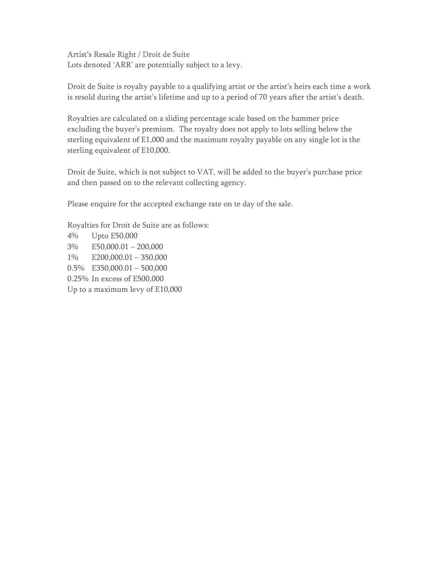#### Artist's Resale Right / Droit de Suite

Lots denoted 'ARR' are potentially subject to a levy.

Droit de Suite is royalty payable to a qualifying artist or the artist's heirs each time a work is resold during the artist's lifetime and up to a period of 70 years after the artist's death.

Royalties are calculated on a sliding percentage scale based on the hammer price excluding the buyer's premium. The royalty does not apply to lots selling below the sterling equivalent of E1,000 and the maximum royalty payable on any single lot is the sterling equivalent of E10,000.

Droit de Suite, which is not subject to VAT, will be added to the buyer's purchase price and then passed on to the relevant collecting agency.

Please enquire for the accepted exchange rate on te day of the sale.

Royalties for Droit de Suite are as follows: 4% Upto E50,000 3% E50,000.01 – 200,000 1% E200,000.01 – 350,000 0.5% E350,000.01 – 500,000 0.25% In excess of E500,000 Up to a maximum levy of E10,000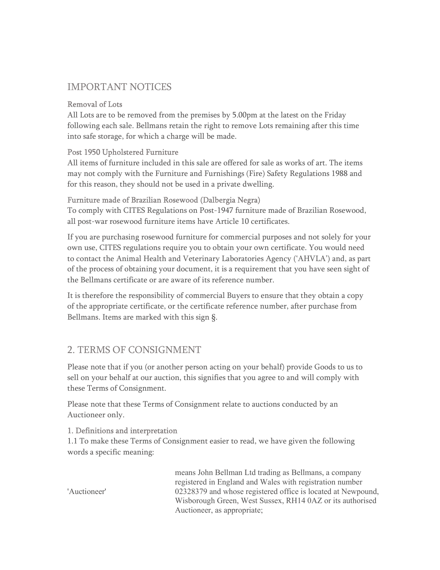# IMPORTANT NOTICES

#### Removal of Lots

All Lots are to be removed from the premises by 5.00pm at the latest on the Friday following each sale. Bellmans retain the right to remove Lots remaining after this time into safe storage, for which a charge will be made.

# Post 1950 Upholstered Furniture

All items of furniture included in this sale are offered for sale as works of art. The items may not comply with the Furniture and Furnishings (Fire) Safety Regulations 1988 and for this reason, they should not be used in a private dwelling.

#### Furniture made of Brazilian Rosewood (Dalbergia Negra)

To comply with CITES Regulations on Post-1947 furniture made of Brazilian Rosewood, all post-war rosewood furniture items have Article 10 certificates.

If you are purchasing rosewood furniture for commercial purposes and not solely for your own use, CITES regulations require you to obtain your own certificate. You would need to contact the Animal Health and Veterinary Laboratories Agency ('AHVLA') and, as part of the process of obtaining your document, it is a requirement that you have seen sight of the Bellmans certificate or are aware of its reference number.

It is therefore the responsibility of commercial Buyers to ensure that they obtain a copy of the appropriate certificate, or the certificate reference number, after purchase from Bellmans. Items are marked with this sign §.

# 2. TERMS OF CONSIGNMENT

Please note that if you (or another person acting on your behalf) provide Goods to us to sell on your behalf at our auction, this signifies that you agree to and will comply with these Terms of Consignment.

Please note that these Terms of Consignment relate to auctions conducted by an Auctioneer only.

#### 1. Definitions and interpretation

1.1 To make these Terms of Consignment easier to read, we have given the following words a specific meaning:

means John Bellman Ltd trading as Bellmans, a company registered in England and Wales with registration number 02328379 and whose registered office is located at Newpound, Wisborough Green, West Sussex, RH14 0AZ or its authorised Auctioneer, as appropriate;

'Auctioneer'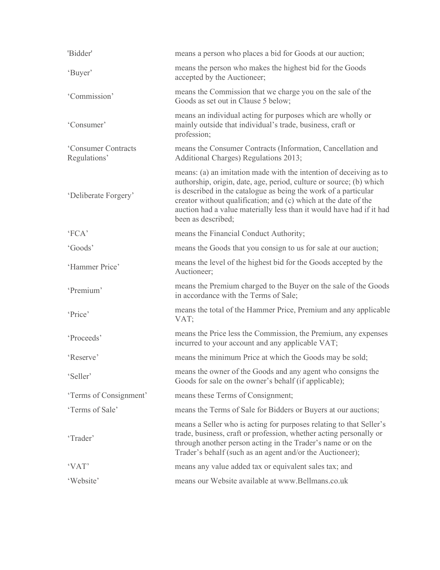| 'Bidder'                            | means a person who places a bid for Goods at our auction;                                                                                                                                                                                                                                                                                                                     |
|-------------------------------------|-------------------------------------------------------------------------------------------------------------------------------------------------------------------------------------------------------------------------------------------------------------------------------------------------------------------------------------------------------------------------------|
| 'Buyer'                             | means the person who makes the highest bid for the Goods<br>accepted by the Auctioneer;                                                                                                                                                                                                                                                                                       |
| 'Commission'                        | means the Commission that we charge you on the sale of the<br>Goods as set out in Clause 5 below;                                                                                                                                                                                                                                                                             |
| 'Consumer'                          | means an individual acting for purposes which are wholly or<br>mainly outside that individual's trade, business, craft or<br>profession;                                                                                                                                                                                                                                      |
| 'Consumer Contracts<br>Regulations' | means the Consumer Contracts (Information, Cancellation and<br>Additional Charges) Regulations 2013;                                                                                                                                                                                                                                                                          |
| 'Deliberate Forgery'                | means: (a) an imitation made with the intention of deceiving as to<br>authorship, origin, date, age, period, culture or source; (b) which<br>is described in the catalogue as being the work of a particular<br>creator without qualification; and (c) which at the date of the<br>auction had a value materially less than it would have had if it had<br>been as described; |
| 'FCA'                               | means the Financial Conduct Authority;                                                                                                                                                                                                                                                                                                                                        |
| 'Goods'                             | means the Goods that you consign to us for sale at our auction;                                                                                                                                                                                                                                                                                                               |
| 'Hammer Price'                      | means the level of the highest bid for the Goods accepted by the<br>Auctioneer;                                                                                                                                                                                                                                                                                               |
| 'Premium'                           | means the Premium charged to the Buyer on the sale of the Goods<br>in accordance with the Terms of Sale;                                                                                                                                                                                                                                                                      |
| 'Price'                             | means the total of the Hammer Price, Premium and any applicable<br>VAT;                                                                                                                                                                                                                                                                                                       |
| 'Proceeds'                          | means the Price less the Commission, the Premium, any expenses<br>incurred to your account and any applicable VAT;                                                                                                                                                                                                                                                            |
| 'Reserve'                           | means the minimum Price at which the Goods may be sold;                                                                                                                                                                                                                                                                                                                       |
| 'Seller'                            | means the owner of the Goods and any agent who consigns the<br>Goods for sale on the owner's behalf (if applicable);                                                                                                                                                                                                                                                          |
| 'Terms of Consignment'              | means these Terms of Consignment;                                                                                                                                                                                                                                                                                                                                             |
| 'Terms of Sale'                     | means the Terms of Sale for Bidders or Buyers at our auctions;                                                                                                                                                                                                                                                                                                                |
| 'Trader'                            | means a Seller who is acting for purposes relating to that Seller's<br>trade, business, craft or profession, whether acting personally or<br>through another person acting in the Trader's name or on the<br>Trader's behalf (such as an agent and/or the Auctioneer);                                                                                                        |
| 'VAT'                               | means any value added tax or equivalent sales tax; and                                                                                                                                                                                                                                                                                                                        |
| 'Website'                           | means our Website available at www.Bellmans.co.uk                                                                                                                                                                                                                                                                                                                             |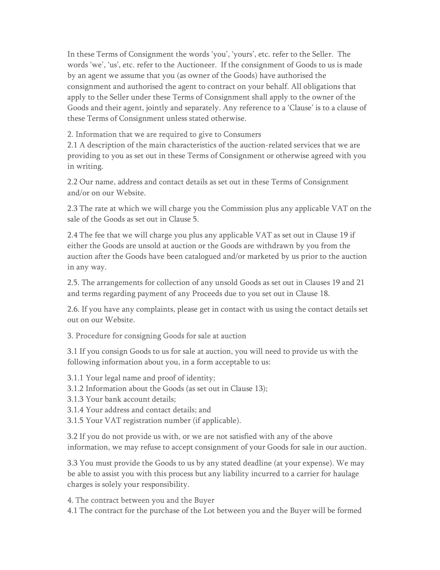In these Terms of Consignment the words 'you', 'yours', etc. refer to the Seller. The words 'we', 'us', etc. refer to the Auctioneer. If the consignment of Goods to us is made by an agent we assume that you (as owner of the Goods) have authorised the consignment and authorised the agent to contract on your behalf. All obligations that apply to the Seller under these Terms of Consignment shall apply to the owner of the Goods and their agent, jointly and separately. Any reference to a 'Clause' is to a clause of these Terms of Consignment unless stated otherwise.

#### 2. Information that we are required to give to Consumers

2.1 A description of the main characteristics of the auction-related services that we are providing to you as set out in these Terms of Consignment or otherwise agreed with you in writing.

2.2 Our name, address and contact details as set out in these Terms of Consignment and/or on our Website.

2.3 The rate at which we will charge you the Commission plus any applicable VAT on the sale of the Goods as set out in Clause 5.

2.4 The fee that we will charge you plus any applicable VAT as set out in Clause 19 if either the Goods are unsold at auction or the Goods are withdrawn by you from the auction after the Goods have been catalogued and/or marketed by us prior to the auction in any way.

2.5. The arrangements for collection of any unsold Goods as set out in Clauses 19 and 21 and terms regarding payment of any Proceeds due to you set out in Clause 18.

2.6. If you have any complaints, please get in contact with us using the contact details set out on our Website.

#### 3. Procedure for consigning Goods for sale at auction

3.1 If you consign Goods to us for sale at auction, you will need to provide us with the following information about you, in a form acceptable to us:

3.1.1 Your legal name and proof of identity;

- 3.1.2 Information about the Goods (as set out in Clause 13);
- 3.1.3 Your bank account details;
- 3.1.4 Your address and contact details; and
- 3.1.5 Your VAT registration number (if applicable).

3.2 If you do not provide us with, or we are not satisfied with any of the above information, we may refuse to accept consignment of your Goods for sale in our auction.

3.3 You must provide the Goods to us by any stated deadline (at your expense). We may be able to assist you with this process but any liability incurred to a carrier for haulage charges is solely your responsibility.

#### 4. The contract between you and the Buyer

4.1 The contract for the purchase of the Lot between you and the Buyer will be formed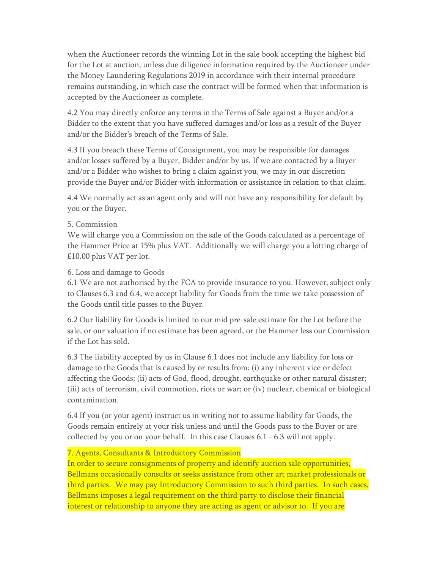when the Auctioneer records the winning Lot in the sale book accepting the highest bid for the Lot at auction, unless due diligence information required by the Auctioneer under the Money Laundering Regulations 2019 in accordance with their internal procedure remains outstanding, in which case the contract will be formed when that information is accepted by the Auctioneer as complete.

4.2 You may directly enforce any terms in the Terms of Sale against a Buyer and/or a Bidder to the extent that you have suffered damages and/or loss as a result of the Buyer and/or the Bidder's breach of the Terms of Sale.

4.3 If you breach these Terms of Consignment, you may be responsible for damages and/or losses suffered by a Buyer, Bidder and/or by us. If we are contacted by a Buyer and/or a Bidder who wishes to bring a claim against you, we may in our discretion provide the Buyer and/or Bidder with information or assistance in relation to that claim.

4.4 We normally act as an agent only and will not have any responsibility for default by you or the Buyer.

#### 5. Commission

We will charge you a Commission on the sale of the Goods calculated as a percentage of the Hammer Price at 15% plus VAT. Additionally we will charge you a lotting charge of £10.00 plus VAT per lot.

# 6. Loss and damage to Goods

6.1 We are not authorised by the FCA to provide insurance to you. However, subject only to Clauses 6.3 and 6.4, we accept liability for Goods from the time we take possession of the Goods until title passes to the Buyer.

6.2 Our liability for Goods is limited to our mid pre-sale estimate for the Lot before the sale, or our valuation if no estimate has been agreed, or the Hammer less our Commission if the Lot has sold.

6.3 The liability accepted by us in Clause 6.1 does not include any liability for loss or damage to the Goods that is caused by or results from: (i) any inherent vice or defect affecting the Goods; (ii) acts of God, flood, drought, earthquake or other natural disaster; (iii) acts of terrorism, civil commotion, riots or war; or (iv) nuclear, chemical or biological contamination.

6.4 If you (or your agent) instruct us in writing not to assume liability for Goods, the Goods remain entirely at your risk unless and until the Goods pass to the Buyer or are collected by you or on your behalf. In this case Clauses 6.1 - 6.3 will not apply.

#### 7. Agents, Consultants & Introductory Commission

In order to secure consignments of property and identify auction sale opportunities, Bellmans occasionally consults or seeks assistance from other art market professionals or third parties. We may pay Introductory Commission to such third parties. In such cases, Bellmans imposes a legal requirement on the third party to disclose their financial interest or relationship to anyone they are acting as agent or advisor to. If you are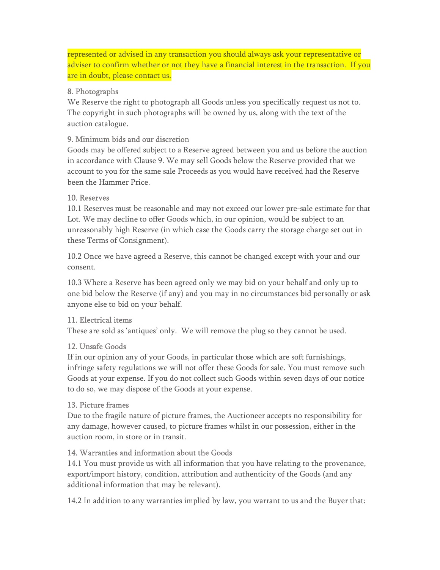represented or advised in any transaction you should always ask your representative or adviser to confirm whether or not they have a financial interest in the transaction. If you are in doubt, please contact us.

#### 8. Photographs

We Reserve the right to photograph all Goods unless you specifically request us not to. The copyright in such photographs will be owned by us, along with the text of the auction catalogue.

### 9. Minimum bids and our discretion

Goods may be offered subject to a Reserve agreed between you and us before the auction in accordance with Clause 9. We may sell Goods below the Reserve provided that we account to you for the same sale Proceeds as you would have received had the Reserve been the Hammer Price.

#### 10. Reserves

10.1 Reserves must be reasonable and may not exceed our lower pre-sale estimate for that Lot. We may decline to offer Goods which, in our opinion, would be subject to an unreasonably high Reserve (in which case the Goods carry the storage charge set out in these Terms of Consignment).

10.2 Once we have agreed a Reserve, this cannot be changed except with your and our consent.

10.3 Where a Reserve has been agreed only we may bid on your behalf and only up to one bid below the Reserve (if any) and you may in no circumstances bid personally or ask anyone else to bid on your behalf.

#### 11. Electrical items

These are sold as 'antiques' only. We will remove the plug so they cannot be used.

#### 12. Unsafe Goods

If in our opinion any of your Goods, in particular those which are soft furnishings, infringe safety regulations we will not offer these Goods for sale. You must remove such Goods at your expense. If you do not collect such Goods within seven days of our notice to do so, we may dispose of the Goods at your expense.

#### 13. Picture frames

Due to the fragile nature of picture frames, the Auctioneer accepts no responsibility for any damage, however caused, to picture frames whilst in our possession, either in the auction room, in store or in transit.

#### 14. Warranties and information about the Goods

14.1 You must provide us with all information that you have relating to the provenance, export/import history, condition, attribution and authenticity of the Goods (and any additional information that may be relevant).

14.2 In addition to any warranties implied by law, you warrant to us and the Buyer that: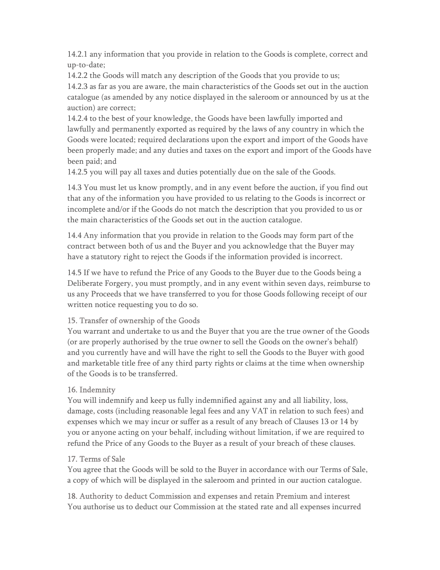14.2.1 any information that you provide in relation to the Goods is complete, correct and up-to-date;

14.2.2 the Goods will match any description of the Goods that you provide to us; 14.2.3 as far as you are aware, the main characteristics of the Goods set out in the auction catalogue (as amended by any notice displayed in the saleroom or announced by us at the auction) are correct;

14.2.4 to the best of your knowledge, the Goods have been lawfully imported and lawfully and permanently exported as required by the laws of any country in which the Goods were located; required declarations upon the export and import of the Goods have been properly made; and any duties and taxes on the export and import of the Goods have been paid; and

14.2.5 you will pay all taxes and duties potentially due on the sale of the Goods.

14.3 You must let us know promptly, and in any event before the auction, if you find out that any of the information you have provided to us relating to the Goods is incorrect or incomplete and/or if the Goods do not match the description that you provided to us or the main characteristics of the Goods set out in the auction catalogue.

14.4 Any information that you provide in relation to the Goods may form part of the contract between both of us and the Buyer and you acknowledge that the Buyer may have a statutory right to reject the Goods if the information provided is incorrect.

14.5 If we have to refund the Price of any Goods to the Buyer due to the Goods being a Deliberate Forgery, you must promptly, and in any event within seven days, reimburse to us any Proceeds that we have transferred to you for those Goods following receipt of our written notice requesting you to do so.

# 15. Transfer of ownership of the Goods

You warrant and undertake to us and the Buyer that you are the true owner of the Goods (or are properly authorised by the true owner to sell the Goods on the owner's behalf) and you currently have and will have the right to sell the Goods to the Buyer with good and marketable title free of any third party rights or claims at the time when ownership of the Goods is to be transferred.

# 16. Indemnity

You will indemnify and keep us fully indemnified against any and all liability, loss, damage, costs (including reasonable legal fees and any VAT in relation to such fees) and expenses which we may incur or suffer as a result of any breach of Clauses 13 or 14 by you or anyone acting on your behalf, including without limitation, if we are required to refund the Price of any Goods to the Buyer as a result of your breach of these clauses.

#### 17. Terms of Sale

You agree that the Goods will be sold to the Buyer in accordance with our Terms of Sale, a copy of which will be displayed in the saleroom and printed in our auction catalogue.

18. Authority to deduct Commission and expenses and retain Premium and interest You authorise us to deduct our Commission at the stated rate and all expenses incurred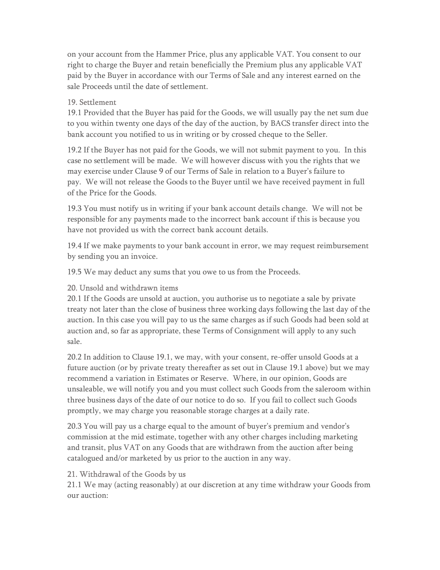on your account from the Hammer Price, plus any applicable VAT. You consent to our right to charge the Buyer and retain beneficially the Premium plus any applicable VAT paid by the Buyer in accordance with our Terms of Sale and any interest earned on the sale Proceeds until the date of settlement.

#### 19. Settlement

19.1 Provided that the Buyer has paid for the Goods, we will usually pay the net sum due to you within twenty one days of the day of the auction, by BACS transfer direct into the bank account you notified to us in writing or by crossed cheque to the Seller.

19.2 If the Buyer has not paid for the Goods, we will not submit payment to you. In this case no settlement will be made. We will however discuss with you the rights that we may exercise under Clause 9 of our Terms of Sale in relation to a Buyer's failure to pay. We will not release the Goods to the Buyer until we have received payment in full of the Price for the Goods.

19.3 You must notify us in writing if your bank account details change. We will not be responsible for any payments made to the incorrect bank account if this is because you have not provided us with the correct bank account details.

19.4 If we make payments to your bank account in error, we may request reimbursement by sending you an invoice.

19.5 We may deduct any sums that you owe to us from the Proceeds.

#### 20. Unsold and withdrawn items

20.1 If the Goods are unsold at auction, you authorise us to negotiate a sale by private treaty not later than the close of business three working days following the last day of the auction. In this case you will pay to us the same charges as if such Goods had been sold at auction and, so far as appropriate, these Terms of Consignment will apply to any such sale.

20.2 In addition to Clause 19.1, we may, with your consent, re-offer unsold Goods at a future auction (or by private treaty thereafter as set out in Clause 19.1 above) but we may recommend a variation in Estimates or Reserve. Where, in our opinion, Goods are unsaleable, we will notify you and you must collect such Goods from the saleroom within three business days of the date of our notice to do so. If you fail to collect such Goods promptly, we may charge you reasonable storage charges at a daily rate.

20.3 You will pay us a charge equal to the amount of buyer's premium and vendor's commission at the mid estimate, together with any other charges including marketing and transit, plus VAT on any Goods that are withdrawn from the auction after being catalogued and/or marketed by us prior to the auction in any way.

#### 21. Withdrawal of the Goods by us

21.1 We may (acting reasonably) at our discretion at any time withdraw your Goods from our auction: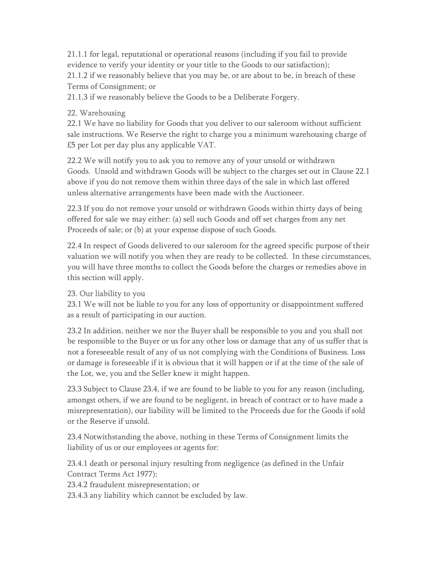21.1.1 for legal, reputational or operational reasons (including if you fail to provide evidence to verify your identity or your title to the Goods to our satisfaction); 21.1.2 if we reasonably believe that you may be, or are about to be, in breach of these Terms of Consignment; or

21.1.3 if we reasonably believe the Goods to be a Deliberate Forgery.

# 22. Warehousing

22.1 We have no liability for Goods that you deliver to our saleroom without sufficient sale instructions. We Reserve the right to charge you a minimum warehousing charge of £5 per Lot per day plus any applicable VAT.

22.2 We will notify you to ask you to remove any of your unsold or withdrawn Goods. Unsold and withdrawn Goods will be subject to the charges set out in Clause 22.1 above if you do not remove them within three days of the sale in which last offered unless alternative arrangements have been made with the Auctioneer.

22.3 If you do not remove your unsold or withdrawn Goods within thirty days of being offered for sale we may either: (a) sell such Goods and off set charges from any net Proceeds of sale; or (b) at your expense dispose of such Goods.

22.4 In respect of Goods delivered to our saleroom for the agreed specific purpose of their valuation we will notify you when they are ready to be collected. In these circumstances, you will have three months to collect the Goods before the charges or remedies above in this section will apply.

# 23. Our liability to you

23.1 We will not be liable to you for any loss of opportunity or disappointment suffered as a result of participating in our auction.

23.2 In addition, neither we nor the Buyer shall be responsible to you and you shall not be responsible to the Buyer or us for any other loss or damage that any of us suffer that is not a foreseeable result of any of us not complying with the Conditions of Business. Loss or damage is foreseeable if it is obvious that it will happen or if at the time of the sale of the Lot, we, you and the Seller knew it might happen.

23.3 Subject to Clause 23.4, if we are found to be liable to you for any reason (including, amongst others, if we are found to be negligent, in breach of contract or to have made a misrepresentation), our liability will be limited to the Proceeds due for the Goods if sold or the Reserve if unsold.

23.4 Notwithstanding the above, nothing in these Terms of Consignment limits the liability of us or our employees or agents for:

23.4.1 death or personal injury resulting from negligence (as defined in the Unfair Contract Terms Act 1977);

23.4.2 fraudulent misrepresentation; or

23.4.3 any liability which cannot be excluded by law.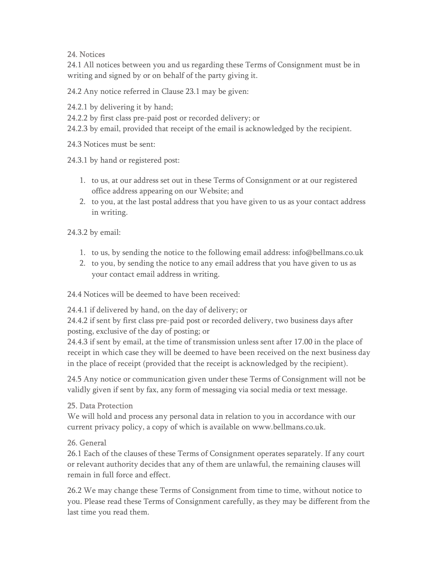# 24. Notices

24.1 All notices between you and us regarding these Terms of Consignment must be in writing and signed by or on behalf of the party giving it.

24.2 Any notice referred in Clause 23.1 may be given:

24.2.1 by delivering it by hand;

24.2.2 by first class pre-paid post or recorded delivery; or

24.2.3 by email, provided that receipt of the email is acknowledged by the recipient.

24.3 Notices must be sent:

24.3.1 by hand or registered post:

- 1. to us, at our address set out in these Terms of Consignment or at our registered office address appearing on our Website; and
- 2. to you, at the last postal address that you have given to us as your contact address in writing.

24.3.2 by email:

- 1. to us, by sending the notice to the following email address: info@bellmans.co.uk
- 2. to you, by sending the notice to any email address that you have given to us as your contact email address in writing.

24.4 Notices will be deemed to have been received:

24.4.1 if delivered by hand, on the day of delivery; or

24.4.2 if sent by first class pre-paid post or recorded delivery, two business days after posting, exclusive of the day of posting; or

24.4.3 if sent by email, at the time of transmission unless sent after 17.00 in the place of receipt in which case they will be deemed to have been received on the next business day in the place of receipt (provided that the receipt is acknowledged by the recipient).

24.5 Any notice or communication given under these Terms of Consignment will not be validly given if sent by fax, any form of messaging via social media or text message.

# 25. Data Protection

We will hold and process any personal data in relation to you in accordance with our current privacy policy, a copy of which is available on www.bellmans.co.uk.

# 26. General

26.1 Each of the clauses of these Terms of Consignment operates separately. If any court or relevant authority decides that any of them are unlawful, the remaining clauses will remain in full force and effect.

26.2 We may change these Terms of Consignment from time to time, without notice to you. Please read these Terms of Consignment carefully, as they may be different from the last time you read them.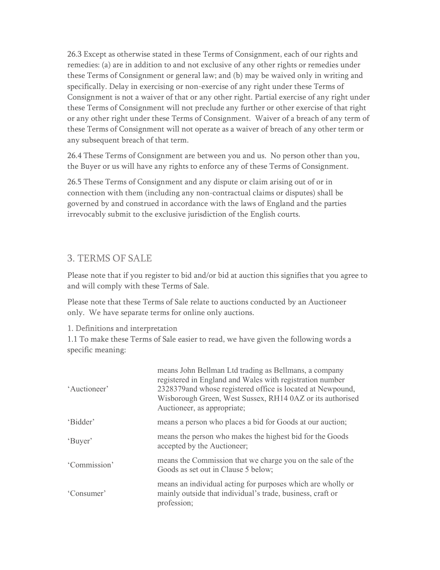26.3 Except as otherwise stated in these Terms of Consignment, each of our rights and remedies: (a) are in addition to and not exclusive of any other rights or remedies under these Terms of Consignment or general law; and (b) may be waived only in writing and specifically. Delay in exercising or non-exercise of any right under these Terms of Consignment is not a waiver of that or any other right. Partial exercise of any right under these Terms of Consignment will not preclude any further or other exercise of that right or any other right under these Terms of Consignment. Waiver of a breach of any term of these Terms of Consignment will not operate as a waiver of breach of any other term or any subsequent breach of that term.

26.4 These Terms of Consignment are between you and us. No person other than you, the Buyer or us will have any rights to enforce any of these Terms of Consignment.

26.5 These Terms of Consignment and any dispute or claim arising out of or in connection with them (including any non-contractual claims or disputes) shall be governed by and construed in accordance with the laws of England and the parties irrevocably submit to the exclusive jurisdiction of the English courts.

# 3. TERMS OF SALE

Please note that if you register to bid and/or bid at auction this signifies that you agree to and will comply with these Terms of Sale.

Please note that these Terms of Sale relate to auctions conducted by an Auctioneer only. We have separate terms for online only auctions.

# 1. Definitions and interpretation

1.1 To make these Terms of Sale easier to read, we have given the following words a specific meaning:

| 'Auctioneer' | means John Bellman Ltd trading as Bellmans, a company<br>registered in England and Wales with registration number<br>2328379 and whose registered office is located at Newpound,<br>Wisborough Green, West Sussex, RH14 0AZ or its authorised<br>Auctioneer, as appropriate; |
|--------------|------------------------------------------------------------------------------------------------------------------------------------------------------------------------------------------------------------------------------------------------------------------------------|
| 'Bidder'     | means a person who places a bid for Goods at our auction;                                                                                                                                                                                                                    |
| 'Buyer'      | means the person who makes the highest bid for the Goods<br>accepted by the Auctioneer;                                                                                                                                                                                      |
| 'Commission' | means the Commission that we charge you on the sale of the<br>Goods as set out in Clause 5 below;                                                                                                                                                                            |
| 'Consumer'   | means an individual acting for purposes which are wholly or<br>mainly outside that individual's trade, business, craft or<br>profession;                                                                                                                                     |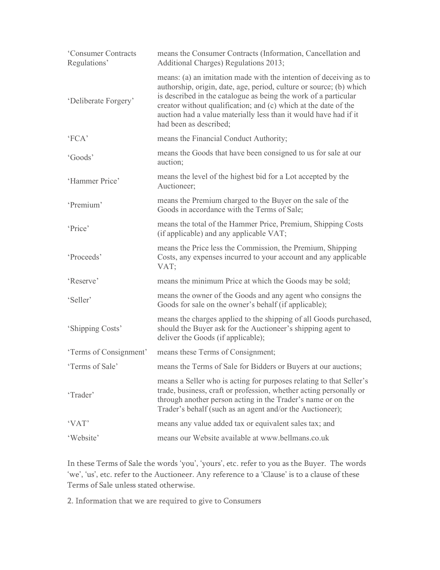| 'Consumer Contracts<br>Regulations' | means the Consumer Contracts (Information, Cancellation and<br>Additional Charges) Regulations 2013;                                                                                                                                                                                                                                                                          |
|-------------------------------------|-------------------------------------------------------------------------------------------------------------------------------------------------------------------------------------------------------------------------------------------------------------------------------------------------------------------------------------------------------------------------------|
| 'Deliberate Forgery'                | means: (a) an imitation made with the intention of deceiving as to<br>authorship, origin, date, age, period, culture or source; (b) which<br>is described in the catalogue as being the work of a particular<br>creator without qualification; and (c) which at the date of the<br>auction had a value materially less than it would have had if it<br>had been as described; |
| 'FCA'                               | means the Financial Conduct Authority;                                                                                                                                                                                                                                                                                                                                        |
| 'Goods'                             | means the Goods that have been consigned to us for sale at our<br>auction;                                                                                                                                                                                                                                                                                                    |
| 'Hammer Price'                      | means the level of the highest bid for a Lot accepted by the<br>Auctioneer;                                                                                                                                                                                                                                                                                                   |
| 'Premium'                           | means the Premium charged to the Buyer on the sale of the<br>Goods in accordance with the Terms of Sale;                                                                                                                                                                                                                                                                      |
| 'Price'                             | means the total of the Hammer Price, Premium, Shipping Costs<br>(if applicable) and any applicable VAT;                                                                                                                                                                                                                                                                       |
| 'Proceeds'                          | means the Price less the Commission, the Premium, Shipping<br>Costs, any expenses incurred to your account and any applicable<br>VAT;                                                                                                                                                                                                                                         |
| 'Reserve'                           | means the minimum Price at which the Goods may be sold;                                                                                                                                                                                                                                                                                                                       |
| 'Seller'                            | means the owner of the Goods and any agent who consigns the<br>Goods for sale on the owner's behalf (if applicable);                                                                                                                                                                                                                                                          |
| 'Shipping Costs'                    | means the charges applied to the shipping of all Goods purchased,<br>should the Buyer ask for the Auctioneer's shipping agent to<br>deliver the Goods (if applicable);                                                                                                                                                                                                        |
| 'Terms of Consignment'              | means these Terms of Consignment;                                                                                                                                                                                                                                                                                                                                             |
| 'Terms of Sale'                     | means the Terms of Sale for Bidders or Buyers at our auctions;                                                                                                                                                                                                                                                                                                                |
| 'Trader'                            | means a Seller who is acting for purposes relating to that Seller's<br>trade, business, craft or profession, whether acting personally or<br>through another person acting in the Trader's name or on the<br>Trader's behalf (such as an agent and/or the Auctioneer);                                                                                                        |
| 'VAT'                               | means any value added tax or equivalent sales tax; and                                                                                                                                                                                                                                                                                                                        |
| 'Website'                           | means our Website available at www.bellmans.co.uk                                                                                                                                                                                                                                                                                                                             |

In these Terms of Sale the words 'you', 'yours', etc. refer to you as the Buyer. The words 'we', 'us', etc. refer to the Auctioneer. Any reference to a 'Clause' is to a clause of these Terms of Sale unless stated otherwise.

2. Information that we are required to give to Consumers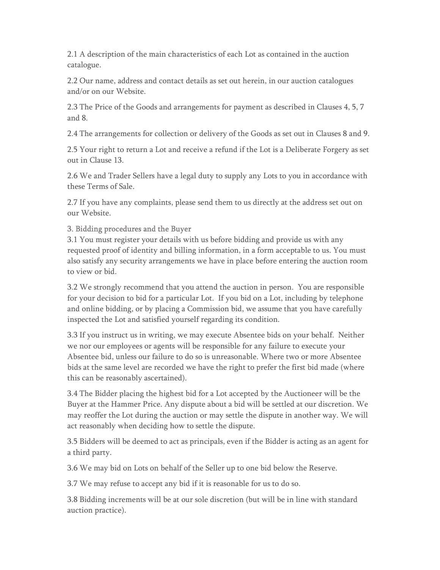2.1 A description of the main characteristics of each Lot as contained in the auction catalogue.

2.2 Our name, address and contact details as set out herein, in our auction catalogues and/or on our Website.

2.3 The Price of the Goods and arrangements for payment as described in Clauses 4, 5, 7 and 8.

2.4 The arrangements for collection or delivery of the Goods as set out in Clauses 8 and 9.

2.5 Your right to return a Lot and receive a refund if the Lot is a Deliberate Forgery as set out in Clause 13.

2.6 We and Trader Sellers have a legal duty to supply any Lots to you in accordance with these Terms of Sale.

2.7 If you have any complaints, please send them to us directly at the address set out on our Website.

#### 3. Bidding procedures and the Buyer

3.1 You must register your details with us before bidding and provide us with any requested proof of identity and billing information, in a form acceptable to us. You must also satisfy any security arrangements we have in place before entering the auction room to view or bid.

3.2 We strongly recommend that you attend the auction in person. You are responsible for your decision to bid for a particular Lot. If you bid on a Lot, including by telephone and online bidding, or by placing a Commission bid, we assume that you have carefully inspected the Lot and satisfied yourself regarding its condition.

3.3 If you instruct us in writing, we may execute Absentee bids on your behalf. Neither we nor our employees or agents will be responsible for any failure to execute your Absentee bid, unless our failure to do so is unreasonable. Where two or more Absentee bids at the same level are recorded we have the right to prefer the first bid made (where this can be reasonably ascertained).

3.4 The Bidder placing the highest bid for a Lot accepted by the Auctioneer will be the Buyer at the Hammer Price. Any dispute about a bid will be settled at our discretion. We may reoffer the Lot during the auction or may settle the dispute in another way. We will act reasonably when deciding how to settle the dispute.

3.5 Bidders will be deemed to act as principals, even if the Bidder is acting as an agent for a third party.

3.6 We may bid on Lots on behalf of the Seller up to one bid below the Reserve.

3.7 We may refuse to accept any bid if it is reasonable for us to do so.

3.8 Bidding increments will be at our sole discretion (but will be in line with standard auction practice).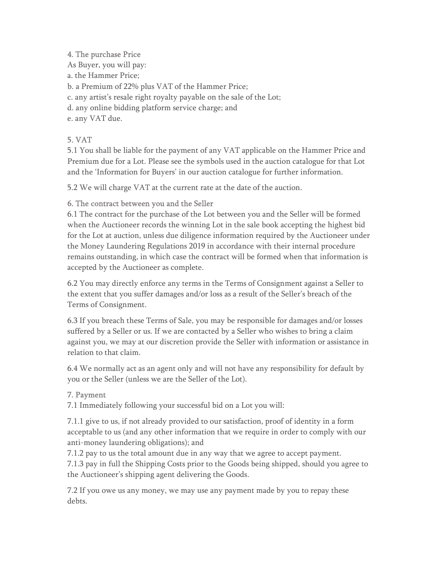# 4. The purchase Price

As Buyer, you will pay:

a. the Hammer Price;

b. a Premium of 22% plus VAT of the Hammer Price;

- c. any artist's resale right royalty payable on the sale of the Lot;
- d. any online bidding platform service charge; and
- e. any VAT due.

# 5. VAT

5.1 You shall be liable for the payment of any VAT applicable on the Hammer Price and Premium due for a Lot. Please see the symbols used in the auction catalogue for that Lot and the 'Information for Buyers' in our auction catalogue for further information.

5.2 We will charge VAT at the current rate at the date of the auction.

# 6. The contract between you and the Seller

6.1 The contract for the purchase of the Lot between you and the Seller will be formed when the Auctioneer records the winning Lot in the sale book accepting the highest bid for the Lot at auction, unless due diligence information required by the Auctioneer under the Money Laundering Regulations 2019 in accordance with their internal procedure remains outstanding, in which case the contract will be formed when that information is accepted by the Auctioneer as complete.

6.2 You may directly enforce any terms in the Terms of Consignment against a Seller to the extent that you suffer damages and/or loss as a result of the Seller's breach of the Terms of Consignment.

6.3 If you breach these Terms of Sale, you may be responsible for damages and/or losses suffered by a Seller or us. If we are contacted by a Seller who wishes to bring a claim against you, we may at our discretion provide the Seller with information or assistance in relation to that claim.

6.4 We normally act as an agent only and will not have any responsibility for default by you or the Seller (unless we are the Seller of the Lot).

# 7. Payment

7.1 Immediately following your successful bid on a Lot you will:

7.1.1 give to us, if not already provided to our satisfaction, proof of identity in a form acceptable to us (and any other information that we require in order to comply with our anti-money laundering obligations); and

7.1.2 pay to us the total amount due in any way that we agree to accept payment. 7.1.3 pay in full the Shipping Costs prior to the Goods being shipped, should you agree to the Auctioneer's shipping agent delivering the Goods.

7.2 If you owe us any money, we may use any payment made by you to repay these debts.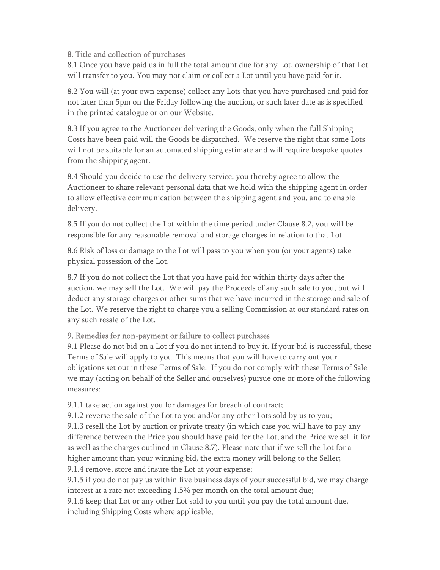#### 8. Title and collection of purchases

8.1 Once you have paid us in full the total amount due for any Lot, ownership of that Lot will transfer to you. You may not claim or collect a Lot until you have paid for it.

8.2 You will (at your own expense) collect any Lots that you have purchased and paid for not later than 5pm on the Friday following the auction, or such later date as is specified in the printed catalogue or on our Website.

8.3 If you agree to the Auctioneer delivering the Goods, only when the full Shipping Costs have been paid will the Goods be dispatched. We reserve the right that some Lots will not be suitable for an automated shipping estimate and will require bespoke quotes from the shipping agent.

8.4 Should you decide to use the delivery service, you thereby agree to allow the Auctioneer to share relevant personal data that we hold with the shipping agent in order to allow effective communication between the shipping agent and you, and to enable delivery.

8.5 If you do not collect the Lot within the time period under Clause 8.2, you will be responsible for any reasonable removal and storage charges in relation to that Lot.

8.6 Risk of loss or damage to the Lot will pass to you when you (or your agents) take physical possession of the Lot.

8.7 If you do not collect the Lot that you have paid for within thirty days after the auction, we may sell the Lot. We will pay the Proceeds of any such sale to you, but will deduct any storage charges or other sums that we have incurred in the storage and sale of the Lot. We reserve the right to charge you a selling Commission at our standard rates on any such resale of the Lot.

#### 9. Remedies for non-payment or failure to collect purchases

9.1 Please do not bid on a Lot if you do not intend to buy it. If your bid is successful, these Terms of Sale will apply to you. This means that you will have to carry out your obligations set out in these Terms of Sale. If you do not comply with these Terms of Sale we may (acting on behalf of the Seller and ourselves) pursue one or more of the following measures:

9.1.1 take action against you for damages for breach of contract;

9.1.2 reverse the sale of the Lot to you and/or any other Lots sold by us to you;

9.1.3 resell the Lot by auction or private treaty (in which case you will have to pay any difference between the Price you should have paid for the Lot, and the Price we sell it for as well as the charges outlined in Clause 8.7). Please note that if we sell the Lot for a higher amount than your winning bid, the extra money will belong to the Seller; 9.1.4 remove, store and insure the Lot at your expense;

9.1.5 if you do not pay us within five business days of your successful bid, we may charge interest at a rate not exceeding 1.5% per month on the total amount due;

9.1.6 keep that Lot or any other Lot sold to you until you pay the total amount due, including Shipping Costs where applicable;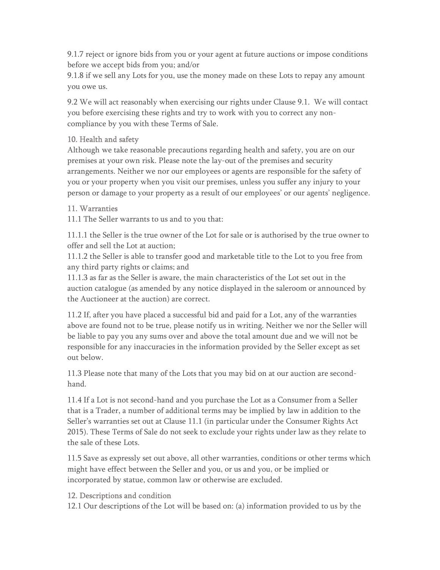9.1.7 reject or ignore bids from you or your agent at future auctions or impose conditions before we accept bids from you; and/or

9.1.8 if we sell any Lots for you, use the money made on these Lots to repay any amount you owe us.

9.2 We will act reasonably when exercising our rights under Clause 9.1. We will contact you before exercising these rights and try to work with you to correct any noncompliance by you with these Terms of Sale.

# 10. Health and safety

Although we take reasonable precautions regarding health and safety, you are on our premises at your own risk. Please note the lay-out of the premises and security arrangements. Neither we nor our employees or agents are responsible for the safety of you or your property when you visit our premises, unless you suffer any injury to your person or damage to your property as a result of our employees' or our agents' negligence.

#### 11. Warranties

11.1 The Seller warrants to us and to you that:

11.1.1 the Seller is the true owner of the Lot for sale or is authorised by the true owner to offer and sell the Lot at auction;

11.1.2 the Seller is able to transfer good and marketable title to the Lot to you free from any third party rights or claims; and

11.1.3 as far as the Seller is aware, the main characteristics of the Lot set out in the auction catalogue (as amended by any notice displayed in the saleroom or announced by the Auctioneer at the auction) are correct.

11.2 If, after you have placed a successful bid and paid for a Lot, any of the warranties above are found not to be true, please notify us in writing. Neither we nor the Seller will be liable to pay you any sums over and above the total amount due and we will not be responsible for any inaccuracies in the information provided by the Seller except as set out below.

11.3 Please note that many of the Lots that you may bid on at our auction are secondhand.

11.4 If a Lot is not second-hand and you purchase the Lot as a Consumer from a Seller that is a Trader, a number of additional terms may be implied by law in addition to the Seller's warranties set out at Clause 11.1 (in particular under the Consumer Rights Act 2015). These Terms of Sale do not seek to exclude your rights under law as they relate to the sale of these Lots.

11.5 Save as expressly set out above, all other warranties, conditions or other terms which might have effect between the Seller and you, or us and you, or be implied or incorporated by statue, common law or otherwise are excluded.

#### 12. Descriptions and condition

12.1 Our descriptions of the Lot will be based on: (a) information provided to us by the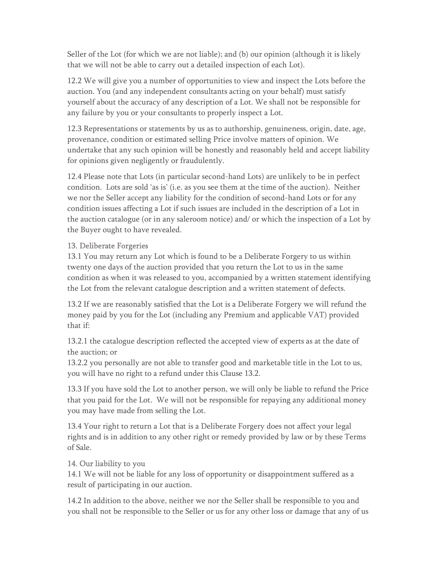Seller of the Lot (for which we are not liable); and (b) our opinion (although it is likely that we will not be able to carry out a detailed inspection of each Lot).

12.2 We will give you a number of opportunities to view and inspect the Lots before the auction. You (and any independent consultants acting on your behalf) must satisfy yourself about the accuracy of any description of a Lot. We shall not be responsible for any failure by you or your consultants to properly inspect a Lot.

12.3 Representations or statements by us as to authorship, genuineness, origin, date, age, provenance, condition or estimated selling Price involve matters of opinion. We undertake that any such opinion will be honestly and reasonably held and accept liability for opinions given negligently or fraudulently.

12.4 Please note that Lots (in particular second-hand Lots) are unlikely to be in perfect condition. Lots are sold 'as is' (i.e. as you see them at the time of the auction). Neither we nor the Seller accept any liability for the condition of second-hand Lots or for any condition issues affecting a Lot if such issues are included in the description of a Lot in the auction catalogue (or in any saleroom notice) and/ or which the inspection of a Lot by the Buyer ought to have revealed.

#### 13. Deliberate Forgeries

13.1 You may return any Lot which is found to be a Deliberate Forgery to us within twenty one days of the auction provided that you return the Lot to us in the same condition as when it was released to you, accompanied by a written statement identifying the Lot from the relevant catalogue description and a written statement of defects.

13.2 If we are reasonably satisfied that the Lot is a Deliberate Forgery we will refund the money paid by you for the Lot (including any Premium and applicable VAT) provided that if:

13.2.1 the catalogue description reflected the accepted view of experts as at the date of the auction; or

13.2.2 you personally are not able to transfer good and marketable title in the Lot to us, you will have no right to a refund under this Clause 13.2.

13.3 If you have sold the Lot to another person, we will only be liable to refund the Price that you paid for the Lot. We will not be responsible for repaying any additional money you may have made from selling the Lot.

13.4 Your right to return a Lot that is a Deliberate Forgery does not affect your legal rights and is in addition to any other right or remedy provided by law or by these Terms of Sale.

#### 14. Our liability to you

14.1 We will not be liable for any loss of opportunity or disappointment suffered as a result of participating in our auction.

14.2 In addition to the above, neither we nor the Seller shall be responsible to you and you shall not be responsible to the Seller or us for any other loss or damage that any of us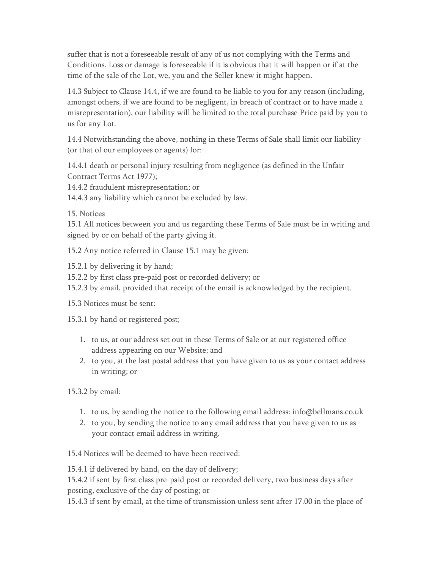suffer that is not a foreseeable result of any of us not complying with the Terms and Conditions. Loss or damage is foreseeable if it is obvious that it will happen or if at the time of the sale of the Lot, we, you and the Seller knew it might happen.

14.3 Subject to Clause 14.4, if we are found to be liable to you for any reason (including, amongst others, if we are found to be negligent, in breach of contract or to have made a misrepresentation), our liability will be limited to the total purchase Price paid by you to us for any Lot.

14.4 Notwithstanding the above, nothing in these Terms of Sale shall limit our liability (or that of our employees or agents) for:

14.4.1 death or personal injury resulting from negligence (as defined in the Unfair Contract Terms Act 1977);

14.4.2 fraudulent misrepresentation; or

14.4.3 any liability which cannot be excluded by law.

# 15. Notices

15.1 All notices between you and us regarding these Terms of Sale must be in writing and signed by or on behalf of the party giving it.

15.2 Any notice referred in Clause 15.1 may be given:

15.2.1 by delivering it by hand;

- 15.2.2 by first class pre-paid post or recorded delivery; or
- 15.2.3 by email, provided that receipt of the email is acknowledged by the recipient.

15.3 Notices must be sent:

15.3.1 by hand or registered post;

- 1. to us, at our address set out in these Terms of Sale or at our registered office address appearing on our Website; and
- 2. to you, at the last postal address that you have given to us as your contact address in writing; or

15.3.2 by email:

- 1. to us, by sending the notice to the following email address: info@bellmans.co.uk
- 2. to you, by sending the notice to any email address that you have given to us as your contact email address in writing.

15.4 Notices will be deemed to have been received:

15.4.1 if delivered by hand, on the day of delivery;

15.4.2 if sent by first class pre-paid post or recorded delivery, two business days after posting, exclusive of the day of posting; or

15.4.3 if sent by email, at the time of transmission unless sent after 17.00 in the place of